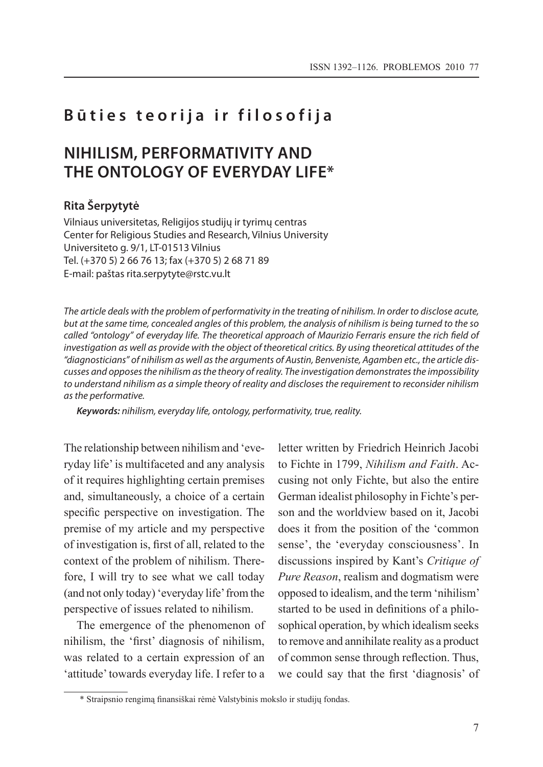## **Būties teorija ir filosofija**

# **Nihilism, Performativity and the Ontology of Everyday Life\***

### **Rita Šerpytytė**

Vilniaus universitetas, Religijos studijų ir tyrimų centras Center for Religious Studies and Research, Vilnius University Universiteto g. 9/1, LT-01513 Vilnius Tel. (+370 5) 2 66 76 13; fax (+370 5) 2 68 71 89 E-mail: paštas rita.serpytyte@rstc.vu.lt

*The article deals with the problem of performativity in the treating of nihilism. In order to disclose acute, but at the same time, concealed angles of this problem, the analysis of nihilism is being turned to the so called "ontology" of everyday life. The theoretical approach of Maurizio Ferraris ensure the rich field of investigation as well as provide with the object of theoretical critics. By using theoretical attitudes of the "diagnosticians" of nihilism as well as the arguments of Austin, Benveniste, Agamben etc., the article discusses and opposes the nihilism as the theory of reality. The investigation demonstrates the impossibility to understand nihilism as a simple theory of reality and discloses the requirement to reconsider nihilism as the performative.* 

*Keywords: nihilism, everyday life, ontology, performativity, true, reality.*

The relationship between nihilism and 'everyday life' is multifaceted and any analysis of it requires highlighting certain premises and, simultaneously, a choice of a certain specific perspective on investigation. The premise of my article and my perspective of investigation is, first of all, related to the context of the problem of nihilism. Therefore, I will try to see what we call today (and not only today) 'everyday life' from the perspective of issues related to nihilism.

The emergence of the phenomenon of nihilism, the 'first' diagnosis of nihilism, was related to a certain expression of an 'attitude' towards everyday life. I refer to a

letter written by Friedrich Heinrich Jacobi to Fichte in 1799, *Nihilism and Faith*. Accusing not only Fichte, but also the entire German idealist philosophy in Fichte's person and the worldview based on it, Jacobi does it from the position of the 'common sense', the 'everyday consciousness'. In discussions inspired by Kant's *Critique of Pure Reason*, realism and dogmatism were opposed to idealism, and the term 'nihilism' started to be used in definitions of a philosophical operation, by which idealism seeks to remove and annihilate reality as a product of common sense through reflection. Thus, we could say that the first 'diagnosis' of

<sup>\*</sup> Straipsnio rengimą finansiškai rėmė Valstybinis mokslo ir studijų fondas.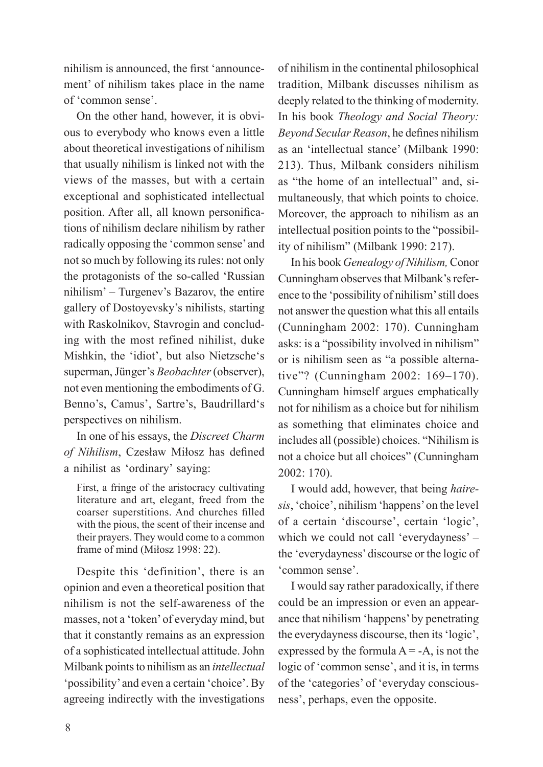nihilism is announced, the first 'announcement' of nihilism takes place in the name of 'common sense'.

On the other hand, however, it is obvious to everybody who knows even a little about theoretical investigations of nihilism that usually nihilism is linked not with the views of the masses, but with a certain exceptional and sophisticated intellectual position. After all, all known personifications of nihilism declare nihilism by rather radically opposing the 'common sense' and not so much by following its rules: not only the protagonists of the so-called 'Russian nihilism' – Turgenev's Bazarov, the entire gallery of Dostoyevsky's nihilists, starting with Raskolnikov, Stavrogin and concluding with the most refined nihilist, duke Mishkin, the 'idiot', but also Nietzsche's superman, Jünger's *Beobachter* (observer), not even mentioning the embodiments of G. Benno's, Camus', Sartre's, Baudrillard's perspectives on nihilism.

In one of his essays, the *Discreet Charm of Nihilism*, Czesław Miłosz has defined a nihilist as 'ordinary' saying:

First, a fringe of the aristocracy cultivating literature and art, elegant, freed from the coarser superstitions. And churches filled with the pious, the scent of their incense and their prayers. They would come to a common frame of mind (Miłosz 1998: 22).

Despite this 'definition', there is an opinion and even a theoretical position that nihilism is not the self-awareness of the masses, not a 'token' of everyday mind, but that it constantly remains as an expression of a sophisticated intellectual attitude. John Milbank points to nihilism as an *intellectual* 'possibility' and even a certain 'choice'. By agreeing indirectly with the investigations of nihilism in the continental philosophical tradition, Milbank discusses nihilism as deeply related to the thinking of modernity. In his book *Theology and Social Theory: Beyond Secular Reason*, he defines nihilism as an 'intellectual stance' (Milbank 1990: 213). Thus, Milbank considers nihilism as "the home of an intellectual" and, simultaneously, that which points to choice. Moreover, the approach to nihilism as an intellectual position points to the "possibility of nihilism" (Milbank 1990: 217).

In his book *Genealogy of Nihilism,* Conor Cunningham observes that Milbank's reference to the 'possibility of nihilism' still does not answer the question what this all entails (Cunningham 2002: 170). Cunningham asks: is a "possibility involved in nihilism" or is nihilism seen as "a possible alternative"? (Cunningham 2002: 169–170). Cunningham himself argues emphatically not for nihilism as a choice but for nihilism as something that eliminates choice and includes all (possible) choices. "Nihilism is not a choice but all choices" (Cunningham 2002: 170).

I would add, however, that being *hairesis*, 'choice', nihilism 'happens' on the level of a certain 'discourse', certain 'logic', which we could not call 'everydayness' – the 'everydayness' discourse or the logic of 'common sense'.

I would say rather paradoxically, if there could be an impression or even an appearance that nihilism 'happens' by penetrating the everydayness discourse, then its 'logic', expressed by the formula  $A = -A$ , is not the logic of 'common sense', and it is, in terms of the 'categories' of 'everyday consciousness', perhaps, even the opposite.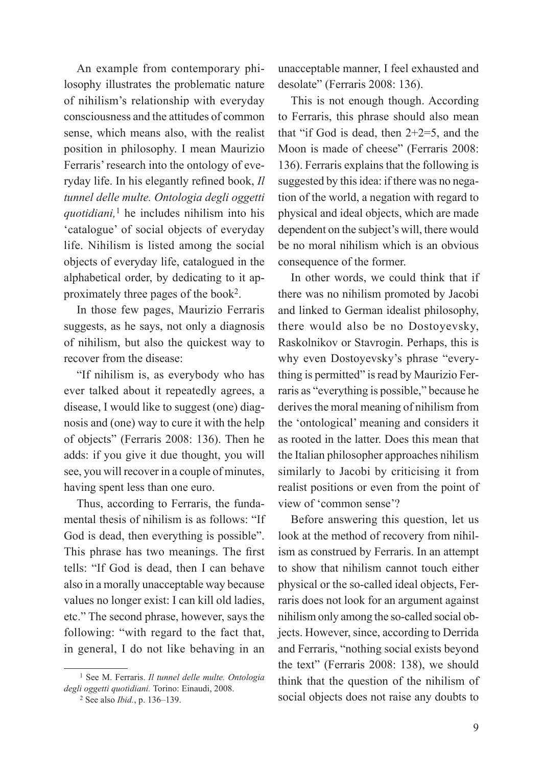An example from contemporary philosophy illustrates the problematic nature of nihilism's relationship with everyday consciousness and the attitudes of common sense, which means also, with the realist position in philosophy. I mean Maurizio Ferraris' research into the ontology of everyday life. In his elegantly refined book, *Il tunnel delle multe. Ontologia degli oggetti quotidiani,*1 he includes nihilism into his 'catalogue' of social objects of everyday life. Nihilism is listed among the social objects of everyday life, catalogued in the alphabetical order, by dedicating to it approximately three pages of the book2.

In those few pages, Maurizio Ferraris suggests, as he says, not only a diagnosis of nihilism, but also the quickest way to recover from the disease:

"If nihilism is, as everybody who has ever talked about it repeatedly agrees, a disease, I would like to suggest (one) diagnosis and (one) way to cure it with the help of objects" (Ferraris 2008: 136). Then he adds: if you give it due thought, you will see, you will recover in a couple of minutes, having spent less than one euro.

Thus, according to Ferraris, the fundamental thesis of nihilism is as follows: "If God is dead, then everything is possible". This phrase has two meanings. The first tells: "If God is dead, then I can behave also in a morally unacceptable way because values no longer exist: I can kill old ladies, etc." The second phrase, however, says the following: "with regard to the fact that, in general, I do not like behaving in an unacceptable manner, I feel exhausted and desolate" (Ferraris 2008: 136).

This is not enough though. According to Ferraris, this phrase should also mean that "if God is dead, then 2+2=5, and the Moon is made of cheese" (Ferraris 2008: 136). Ferraris explains that the following is suggested by this idea: if there was no negation of the world, a negation with regard to physical and ideal objects, which are made dependent on the subject's will, there would be no moral nihilism which is an obvious consequence of the former.

In other words, we could think that if there was no nihilism promoted by Jacobi and linked to German idealist philosophy, there would also be no Dostoyevsky, Raskolnikov or Stavrogin. Perhaps, this is why even Dostoyevsky's phrase "everything is permitted" is read by Maurizio Ferraris as "everything is possible," because he derives the moral meaning of nihilism from the 'ontological' meaning and considers it as rooted in the latter. Does this mean that the Italian philosopher approaches nihilism similarly to Jacobi by criticising it from realist positions or even from the point of view of 'common sense'?

Before answering this question, let us look at the method of recovery from nihilism as construed by Ferraris. In an attempt to show that nihilism cannot touch either physical or the so-called ideal objects, Ferraris does not look for an argument against nihilism only among the so-called social objects. However, since, according to Derrida and Ferraris, "nothing social exists beyond the text" (Ferraris 2008: 138), we should think that the question of the nihilism of social objects does not raise any doubts to

<sup>1</sup> See M. Ferraris. *Il tunnel delle multe. Ontologia degli oggetti quotidiani.* Torino: Einaudi, 2008.

<sup>2</sup> See also *Ibid.*, p. 136–139.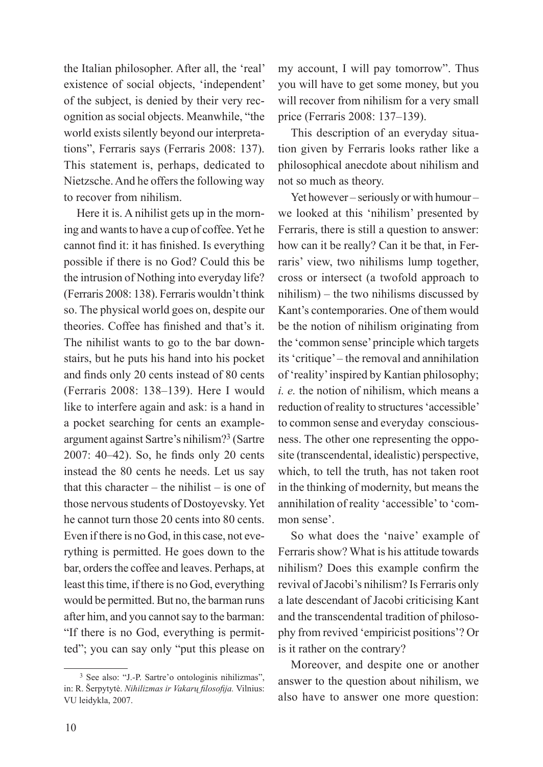the Italian philosopher. After all, the 'real' existence of social objects, 'independent' of the subject, is denied by their very recognition as social objects. Meanwhile, "the world exists silently beyond our interpretations", Ferraris says (Ferraris 2008: 137). This statement is, perhaps, dedicated to Nietzsche. And he offers the following way to recover from nihilism.

Here it is. A nihilist gets up in the morning and wants to have a cup of coffee. Yet he cannot find it: it has finished. Is everything possible if there is no God? Could this be the intrusion of Nothing into everyday life? (Ferraris 2008: 138). Ferraris wouldn't think so. The physical world goes on, despite our theories. Coffee has finished and that's it. The nihilist wants to go to the bar downstairs, but he puts his hand into his pocket and finds only 20 cents instead of 80 cents (Ferraris 2008: 138–139). Here I would like to interfere again and ask: is a hand in a pocket searching for cents an exampleargument against Sartre's nihilism?3 (Sartre 2007: 40–42). So, he finds only 20 cents instead the 80 cents he needs. Let us say that this character – the nihilist – is one of those nervous students of Dostoyevsky. Yet he cannot turn those 20 cents into 80 cents. Even if there is no God, in this case, not everything is permitted. He goes down to the bar, orders the coffee and leaves. Perhaps, at least this time, if there is no God, everything would be permitted. But no, the barman runs after him, and you cannot say to the barman: "If there is no God, everything is permitted"; you can say only "put this please on

<sup>3</sup> See also: "J.-P. Sartre'o ontologinis nihilizmas", in: R. Šerpytytė. *Nihilizmas ir Vakarų filosofija.* Vilnius: VU leidykla, 2007.

my account, I will pay tomorrow". Thus you will have to get some money, but you will recover from nihilism for a very small price (Ferraris 2008: 137–139).

This description of an everyday situation given by Ferraris looks rather like a philosophical anecdote about nihilism and not so much as theory.

Yet however – seriously or with humour – we looked at this 'nihilism' presented by Ferraris, there is still a question to answer: how can it be really? Can it be that, in Ferraris' view, two nihilisms lump together, cross or intersect (a twofold approach to nihilism) – the two nihilisms discussed by Kant's contemporaries. One of them would be the notion of nihilism originating from the 'common sense' principle which targets its 'critique' – the removal and annihilation of 'reality' inspired by Kantian philosophy; *i. e.* the notion of nihilism, which means a reduction of reality to structures 'accessible' to common sense and everyday consciousness. The other one representing the opposite (transcendental, idealistic) perspective, which, to tell the truth, has not taken root in the thinking of modernity, but means the annihilation of reality 'accessible' to 'common sense'.

So what does the 'naive' example of Ferraris show? What is his attitude towards nihilism? Does this example confirm the revival of Jacobi's nihilism? Is Ferraris only a late descendant of Jacobi criticising Kant and the transcendental tradition of philosophy from revived 'empiricist positions'? Or is it rather on the contrary?

Moreover, and despite one or another answer to the question about nihilism, we also have to answer one more question: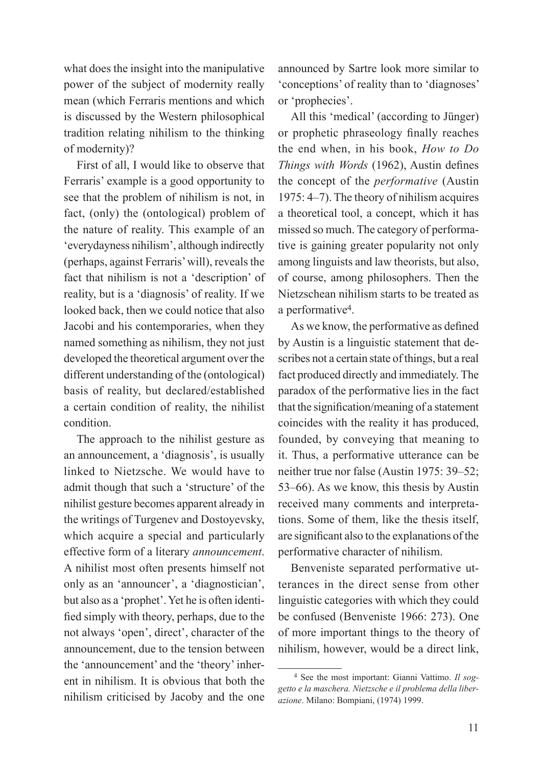what does the insight into the manipulative power of the subject of modernity really mean (which Ferraris mentions and which is discussed by the Western philosophical tradition relating nihilism to the thinking of modernity)?

First of all, I would like to observe that Ferraris' example is a good opportunity to see that the problem of nihilism is not, in fact, (only) the (ontological) problem of the nature of reality. This example of an 'everydayness nihilism', although indirectly (perhaps, against Ferraris' will), reveals the fact that nihilism is not a 'description' of reality, but is a 'diagnosis' of reality. If we looked back, then we could notice that also Jacobi and his contemporaries, when they named something as nihilism, they not just developed the theoretical argument over the different understanding of the (ontological) basis of reality, but declared/established a certain condition of reality, the nihilist condition.

The approach to the nihilist gesture as an announcement, a 'diagnosis', is usually linked to Nietzsche. We would have to admit though that such a 'structure' of the nihilist gesture becomes apparent already in the writings of Turgenev and Dostoyevsky, which acquire a special and particularly effective form of a literary *announcement*. A nihilist most often presents himself not only as an 'announcer', a 'diagnostician', but also as a 'prophet'. Yet he is often identified simply with theory, perhaps, due to the not always 'open', direct', character of the announcement, due to the tension between the 'announcement' and the 'theory' inherent in nihilism. It is obvious that both the nihilism criticised by Jacoby and the one announced by Sartre look more similar to 'conceptions' of reality than to 'diagnoses' or 'prophecies'.

All this 'medical' (according to Jünger) or prophetic phraseology finally reaches the end when, in his book, *How to Do Things with Words* (1962), Austin defines the concept of the *performative* (Austin 1975: 4–7). The theory of nihilism acquires a theoretical tool, a concept, which it has missed so much. The category of performative is gaining greater popularity not only among linguists and law theorists, but also, of course, among philosophers. Then the Nietzschean nihilism starts to be treated as a performative4.

As we know, the performative as defined by Austin is a linguistic statement that describes not a certain state of things, but a real fact produced directly and immediately. The paradox of the performative lies in the fact that the signification/meaning of a statement coincides with the reality it has produced, founded, by conveying that meaning to it. Thus, a performative utterance can be neither true nor false (Austin 1975: 39–52; 53–66). As we know, this thesis by Austin received many comments and interpretations. Some of them, like the thesis itself, are significant also to the explanations of the performative character of nihilism.

Benveniste separated performative utterances in the direct sense from other linguistic categories with which they could be confused (Benveniste 1966: 273). One of more important things to the theory of nihilism, however, would be a direct link,

<sup>4</sup> See the most important: Gianni Vattimo. *Il soggetto e la maschera. Nietzsche e il problema della liberazione*. Milano: Bompiani, (1974) 1999.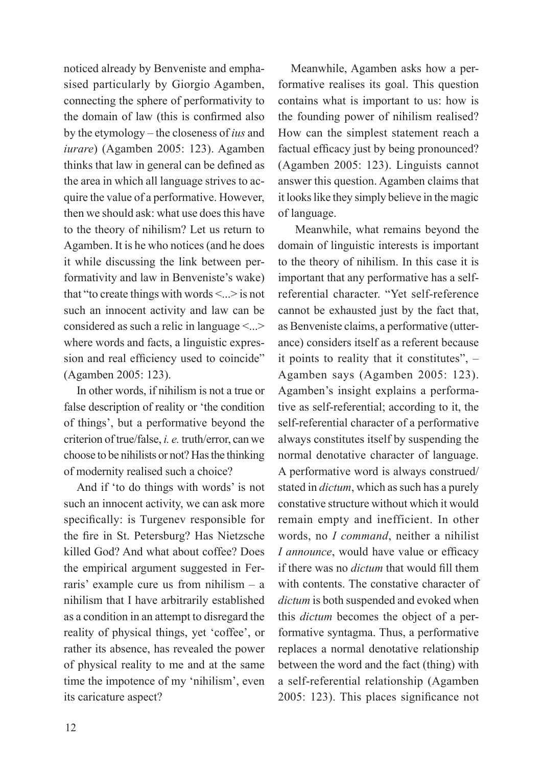noticed already by Benveniste and emphasised particularly by Giorgio Agamben, connecting the sphere of performativity to the domain of law (this is confirmed also by the etymology – the closeness of *ius* and *iurare*) (Agamben 2005: 123). Agamben thinks that law in general can be defined as the area in which all language strives to acquire the value of a performative. However, then we should ask: what use does this have to the theory of nihilism? Let us return to Agamben. It is he who notices (and he does it while discussing the link between performativity and law in Benveniste's wake) that "to create things with words  $\leq$ ... > is not such an innocent activity and law can be considered as such a relic in language <...> where words and facts, a linguistic expression and real efficiency used to coincide" (Agamben 2005: 123).

In other words, if nihilism is not a true or false description of reality or 'the condition of things', but a performative beyond the criterion of true/false, *i. e.* truth/error, can we choose to be nihilists or not? Has the thinking of modernity realised such a choice?

And if 'to do things with words' is not such an innocent activity, we can ask more specifically: is Turgenev responsible for the fire in St. Petersburg? Has Nietzsche killed God? And what about coffee? Does the empirical argument suggested in Ferraris' example cure us from nihilism – a nihilism that I have arbitrarily established as a condition in an attempt to disregard the reality of physical things, yet 'coffee', or rather its absence, has revealed the power of physical reality to me and at the same time the impotence of my 'nihilism', even its caricature aspect?

Meanwhile, Agamben asks how a performative realises its goal. This question contains what is important to us: how is the founding power of nihilism realised? How can the simplest statement reach a factual efficacy just by being pronounced? (Agamben 2005: 123). Linguists cannot answer this question. Agamben claims that it looks like they simply believe in the magic of language.

 Meanwhile, what remains beyond the domain of linguistic interests is important to the theory of nihilism. In this case it is important that any performative has a selfreferential character. "Yet self-reference cannot be exhausted just by the fact that, as Benveniste claims, a performative (utterance) considers itself as a referent because it points to reality that it constitutes", – Agamben says (Agamben 2005: 123). Agamben's insight explains a performative as self-referential; according to it, the self-referential character of a performative always constitutes itself by suspending the normal denotative character of language. A performative word is always construed/ stated in *dictum*, which as such has a purely constative structure without which it would remain empty and inefficient. In other words, no *I command*, neither a nihilist *I announce*, would have value or efficacy if there was no *dictum* that would fill them with contents. The constative character of *dictum* is both suspended and evoked when this *dictum* becomes the object of a performative syntagma. Thus, a performative replaces a normal denotative relationship between the word and the fact (thing) with a self-referential relationship (Agamben 2005: 123). This places significance not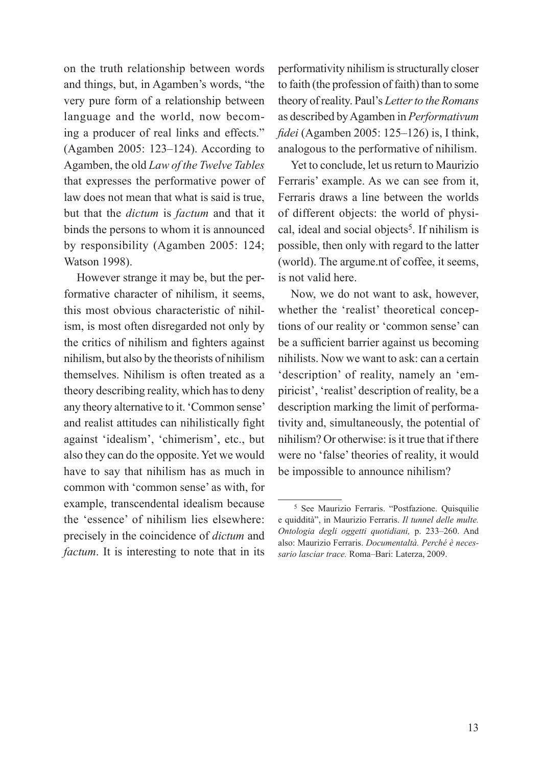on the truth relationship between words and things, but, in Agamben's words, "the very pure form of a relationship between language and the world, now becoming a producer of real links and effects." (Agamben 2005: 123–124). According to Agamben, the old *Law of the Twelve Tables* that expresses the performative power of law does not mean that what is said is true, but that the *dictum* is *factum* and that it binds the persons to whom it is announced by responsibility (Agamben 2005: 124; Watson 1998).

However strange it may be, but the performative character of nihilism, it seems, this most obvious characteristic of nihilism, is most often disregarded not only by the critics of nihilism and fighters against nihilism, but also by the theorists of nihilism themselves. Nihilism is often treated as a theory describing reality, which has to deny any theory alternative to it. 'Common sense' and realist attitudes can nihilistically fight against 'idealism', 'chimerism', etc., but also they can do the opposite. Yet we would have to say that nihilism has as much in common with 'common sense' as with, for example, transcendental idealism because the 'essence' of nihilism lies elsewhere: precisely in the coincidence of *dictum* and *factum*. It is interesting to note that in its

performativity nihilism is structurally closer to faith (the profession of faith) than to some theory of reality. Paul's *Letter to the Romans* as described by Agamben in *Performativum fidei* (Agamben 2005: 125–126) is, I think, analogous to the performative of nihilism.

Yet to conclude, let us return to Maurizio Ferraris' example. As we can see from it, Ferraris draws a line between the worlds of different objects: the world of physical, ideal and social objects<sup>5</sup>. If nihilism is possible, then only with regard to the latter (world). The argume.nt of coffee, it seems, is not valid here.

Now, we do not want to ask, however, whether the 'realist' theoretical conceptions of our reality or 'common sense' can be a sufficient barrier against us becoming nihilists. Now we want to ask: can a certain 'description' of reality, namely an 'empiricist', 'realist' description of reality, be a description marking the limit of performativity and, simultaneously, the potential of nihilism? Or otherwise: is it true that if there were no 'false' theories of reality, it would be impossible to announce nihilism?

<sup>5</sup> See Maurizio Ferraris. "Postfazione. Quisquilie e quiddità", in Maurizio Ferraris. *Il tunnel delle multe. Ontologia degli oggetti quotidiani,* p. 233–260. And also: Maurizio Ferraris. *Documentaltà. Perché è necessario lasciar trace.* Roma–Bari: Laterza, 2009.